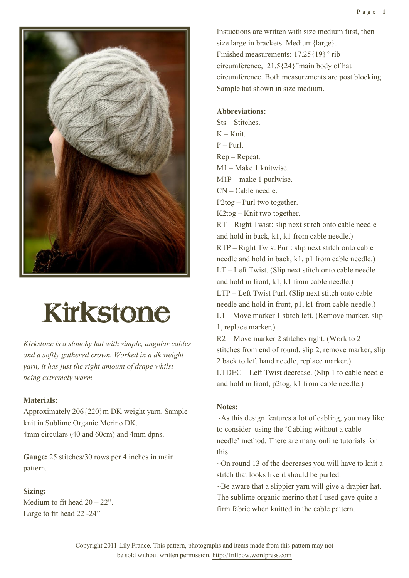

# Kirkstone

*Kirkstone is a slouchy hat with simple, angular cables and a softly gathered crown. Worked in a dk weight yarn, it has just the right amount of drape whilst being extremely warm.*

## **Materials:**

Approximately 206{220}m DK weight yarn. Sample knit in Sublime Organic Merino DK. 4mm circulars (40 and 60cm) and 4mm dpns.

**Gauge:** 25 stitches/30 rows per 4 inches in main pattern.

# **Sizing:**

Medium to fit head  $20 - 22$ ". Large to fit head 22 -24"

Instuctions are written with size medium first, then size large in brackets. Medium {large}. Finished measurements: 17.25{19}" rib circumference, 21.5{24}"main body of hat circumference. Both measurements are post blocking. Sample hat shown in size medium.

# **Abbreviations:**

Sts – Stitches.  $K - Knit$ .  $P - P$ url Rep – Repeat. M1 – Make 1 knitwise. M1P – make 1 purlwise. CN – Cable needle. P2tog – Purl two together. K2tog – Knit two together. RT – Right Twist: slip next stitch onto cable needle and hold in back, k1, k1 from cable needle.) RTP – Right Twist Purl: slip next stitch onto cable needle and hold in back, k1, p1 from cable needle.) LT – Left Twist. (Slip next stitch onto cable needle and hold in front, k1, k1 from cable needle.) LTP – Left Twist Purl. (Slip next stitch onto cable needle and hold in front, p1, k1 from cable needle.) L1 – Move marker 1 stitch left. (Remove marker, slip 1, replace marker.)

R2 – Move marker 2 stitches right. (Work to 2 stitches from end of round, slip 2, remove marker, slip 2 back to left hand needle, replace marker.) LTDEC – Left Twist decrease. (Slip 1 to cable needle and hold in front, p2tog, k1 from cable needle.)

## **Notes:**

 $-\text{As}$  this design features a lot of cabling, you may like to consider using the 'Cabling without a cable needle' method. There are many online tutorials for this.

 $\sim$ On round 13 of the decreases you will have to knit a stitch that looks like it should be purled.

~Be aware that a slippier yarn will give a drapier hat. The sublime organic merino that I used gave quite a firm fabric when knitted in the cable pattern.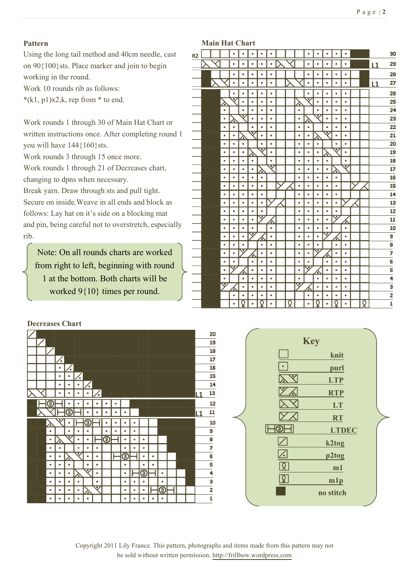#### **Pattern**

Using the long tail method and 40cm needle, cast on 90{100}sts. Place marker and join to begin working in the round.

Work 10 rounds rib as follows:

 $*(k1, p1)x2, k$ , rep from  $*$  to end.

Work rounds 1 through 30 of Main Hat Chart or written instructions once. After completing round 1 you will have  $144\{160\}$  sts.

Work rounds 3 through 15 once more.

Work rounds 1 through 21 of Decreases chart, changing to dpns when necessary.

Break yarn. Draw through sts and pull tight. Secure on inside.Weave in all ends and block as follows: Lay hat on it's side on a blocking mat and pin, being careful not to overstretch, especially rib.

Note: On all rounds charts are worked from right to left, beginning with round 1 at the bottom. Both charts will be worked 9{10} times per round.

|                | <b>Main Hat Chart</b> |                    |                         |                |                         |                     |                         |                     |                         |                         |                         |                         |                         |    |   |                 |                    |
|----------------|-----------------------|--------------------|-------------------------|----------------|-------------------------|---------------------|-------------------------|---------------------|-------------------------|-------------------------|-------------------------|-------------------------|-------------------------|----|---|-----------------|--------------------|
| R <sub>2</sub> |                       |                    | ä,                      | ×,             | ×,                      | ×,                  | ٠                       |                     |                         | ٠                       | ×,                      | ٠                       | ×,                      | ×, |   |                 | 30                 |
|                |                       |                    | ú.                      | ٠              | ×.                      | a,                  | ×,                      |                     |                         | ×,                      | à,                      | ٠                       | ä,                      | ×, |   | $\overline{11}$ | 29                 |
|                |                       |                    | ú,                      | ×,             | ×.                      | ò.                  | ×,                      |                     |                         | ٠                       | ä,                      | ٠                       | à.                      | ٠  |   |                 | 28                 |
|                |                       |                    | ä,                      | ×,             | ×,                      | ò.                  | ×,                      |                     |                         | a,                      | $\blacksquare$          | ×,                      | ú,                      | ×  |   | L1              | 27                 |
|                |                       |                    | ú.                      | ×,             | ×.                      | ú.                  | ×,                      |                     |                         | a,                      | ×,                      | ٠                       | ú,                      | ×, |   |                 | 26                 |
|                |                       | y                  | $\bar{\mathbf{\nabla}}$ | ×              | ×,                      | ×,                  | ×,                      |                     | ^                       | $\overline{\textbf{v}}$ | a,                      | $\blacksquare$          | ú.                      | ×, |   |                 | 25                 |
|                |                       | à,                 |                         | ×,             | ×.                      | ×.                  | ×,                      |                     | à.                      |                         | ٠                       | ×.                      | ×.                      | ×. |   |                 | 24                 |
|                |                       | ٠                  | ≏                       | ত              | ٠                       | ×,                  | ×,                      |                     | ٠                       | ≏                       | $\overline{\mathbf{v}}$ | ٠                       | ٠                       | ×, |   |                 | 23                 |
|                |                       | ×,                 | $\blacksquare$          |                | ×.                      | ä,                  | ٠                       |                     | ×,                      | ٠                       |                         | $\mathbf{u}$            | ×,                      | ٠  |   |                 | 22                 |
|                |                       | ×.                 | ٠                       | ⅍              | ত                       | ×.                  | ٠                       |                     | $\blacksquare$          | ٠                       |                         | $\overline{\textbf{v}}$ | ×,                      | ٠  |   |                 | 21                 |
|                |                       | ×,                 | ú,                      | ×,             |                         | ä,                  | à.                      |                     | ×,                      | ٠                       | ×,                      |                         | ä,                      | ×, |   |                 | 20                 |
|                |                       | ×,                 | ×.                      | ×,             | ^                       | $\overline{\nabla}$ | ×,                      |                     | ×,                      | ٠                       | ×,                      | 独                       | $\overline{\mathbf{v}}$ | ٠  |   |                 | 19                 |
|                |                       | ٠                  | ×,                      | ×,             | ×,                      |                     | ٠                       |                     | ×,                      | ٠                       | ×,                      | ٠                       |                         | ×. |   |                 | 18                 |
|                |                       | ٠                  | ×,                      | ٠              | ٠                       | ^                   | $\overline{\mathbf{v}}$ |                     | ×,                      | ×.                      | ×,                      | ×.                      | ^                       | ভ  |   |                 | 17                 |
|                |                       | ×.                 | a,                      | $\blacksquare$ | ٠                       | $\blacksquare$      |                         |                     | ×,                      | $\alpha$                | a,                      | ٠                       | $\blacksquare$          |    |   |                 | 16                 |
|                |                       | ٠                  | ٠                       | ×,             | à.                      | ×,                  |                         |                     | $\blacksquare$          | ٠                       | ú,                      | $\mathbf{r}$            | ò.                      |    |   |                 | 15                 |
|                |                       | ×,                 | ×,                      | à.             | ×.                      | ×,                  |                         |                     | à.                      | ٠                       | à.                      | ×.                      | à.                      |    |   |                 | 14                 |
|                |                       | ×,                 | $\blacksquare$          | ×,             | ×,                      | ×,                  |                         |                     | ×,                      | ٠                       | ú.                      | ٠                       | ×,                      |    |   |                 | 13                 |
|                |                       | ×,                 | ú.                      | ×,             | ×.                      | ä,                  |                         |                     | ă.                      | ٠                       | à,                      | ×.                      | ă.                      |    |   |                 | 12                 |
|                |                       | ×,                 | ×,                      | ٠              | ×.                      | €                   | ≏                       |                     | ×,                      | ٠                       | ٠                       | ٠                       | ভ                       | ́≏ |   |                 | 11                 |
|                |                       | ٠                  | ٠                       | ×,             | ×.                      |                     | ×,                      |                     | ò.                      | ٠                       | ä,                      | ٠                       |                         | ×, |   |                 | 10                 |
|                |                       | ×,                 | a,                      | ×,             | $\overline{\mathbf{v}}$ | ^                   | a,                      |                     | ×,                      | ٠                       | ×,                      | $\overline{\mathbf{v}}$ | ́^                      | ٠  |   |                 | 9                  |
|                |                       | ×,                 | ×.                      | ×,             |                         | ×,                  | ×,                      |                     | ×,                      | ٠                       | ×,                      |                         | ×,                      | ٠  |   |                 | $\frac{8}{7}$      |
|                |                       | ×,                 | ú,                      | ⊽              | ∡                       | ×,                  | $\blacksquare$          |                     | ×,                      | ٠                       | ত                       | ́^                      | $\blacksquare$          | ×, |   |                 |                    |
|                |                       | ×,                 | ×,                      |                | ٠                       | ×.                  | ٠                       |                     | ×,                      | ٠                       |                         | ×.                      | ×.                      | ٠  |   |                 | $\overline{\bf s}$ |
|                |                       | à,                 | उ                       | ́≏             | ×.                      | ×.                  | ×,                      |                     | à.                      | उ                       | ́≙                      | ×.                      | à.                      | ٠  |   |                 | $\frac{1}{4}$      |
|                |                       | ×,                 |                         | ×,             | ×,                      | ×,                  | ×,                      |                     | ×,                      |                         | ×,                      | ×,                      | ×,                      | ×, |   |                 |                    |
|                |                       | $\bar{\mathbf{v}}$ | <u> 全</u>               | ٠              | ×.                      | ×.                  | ٠                       |                     | $\overline{\mathbf{y}}$ | $\bf \hat{r}$           | ×,                      | ٠                       | ×.                      | ×. |   |                 |                    |
|                |                       |                    | ú.                      | ٠              | ٠                       | ×,                  | ٠                       |                     |                         | ٠                       | ú.                      | ٠                       | ×,                      | ٠  |   |                 | $\frac{3}{2}$      |
|                |                       |                    | ä,                      | Ŏ              | ä,                      | Ŏ                   | ×,                      | $\overline{\Omega}$ |                         | ×,                      | Ŏ                       | ×,                      | Q                       | ×, | Q |                 | 1                  |

#### **Decreases Chart**





Copyright 2011 Lily France. This pattern, photographs and items made from this pattern may not be sold without written permission. http://frillbow.wordpress.com